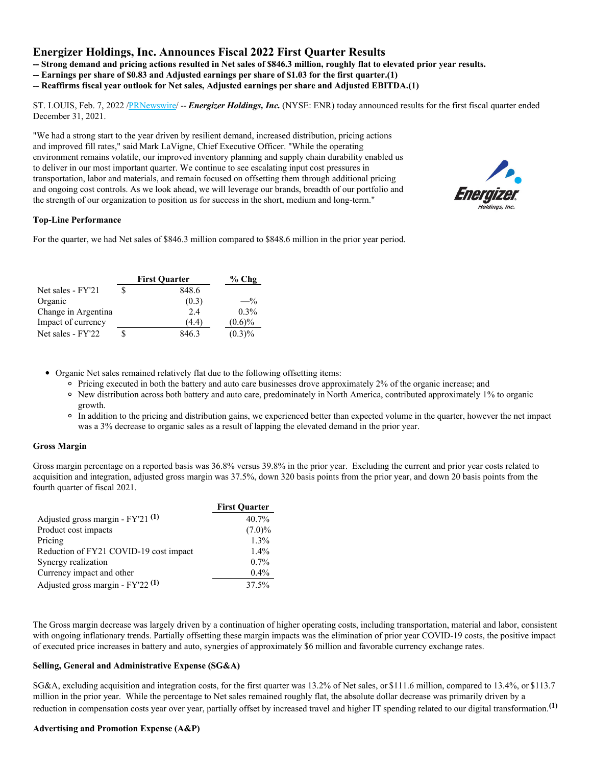# **Energizer Holdings, Inc. Announces Fiscal 2022 First Quarter Results**

- Strong demand and pricing actions resulted in Net sales of \$846.3 million, roughly flat to elevated prior year results.

- **-- Earnings per share of \$0.83 and Adjusted earnings per share of \$1.03 for the first quarter.(1)**
- **-- Reaffirms fiscal year outlook for Net sales, Adjusted earnings per share and Adjusted EBITDA.(1)**

ST. LOUIS, Feb. 7, 2022 [/PRNewswire](http://www.prnewswire.com/)/ -- *Energizer Holdings, Inc.* (NYSE: ENR) today announced results for the first fiscal quarter ended December 31, 2021.

"We had a strong start to the year driven by resilient demand, increased distribution, pricing actions and improved fill rates," said Mark LaVigne, Chief Executive Officer. "While the operating environment remains volatile, our improved inventory planning and supply chain durability enabled us to deliver in our most important quarter. We continue to see escalating input cost pressures in transportation, labor and materials, and remain focused on offsetting them through additional pricing and ongoing cost controls. As we look ahead, we will leverage our brands, breadth of our portfolio and the strength of our organization to position us for success in the short, medium and long-term."



# **Top-Line Performance**

For the quarter, we had Net sales of \$846.3 million compared to \$848.6 million in the prior year period.

|                     |   | <b>First Ouarter</b> | $%$ Chg   |
|---------------------|---|----------------------|-----------|
| Net sales - FY'21   |   | 848.6                |           |
| Organic             |   | (0.3)                | $-$ %     |
| Change in Argentina |   | 2.4                  | $0.3\%$   |
| Impact of currency  |   | (4.4)                | $(0.6)\%$ |
| Net sales - FY'22   | S | 846.3                | $(0.3)\%$ |

Organic Net sales remained relatively flat due to the following offsetting items:

- Pricing executed in both the battery and auto care businesses drove approximately 2% of the organic increase; and
- New distribution across both battery and auto care, predominately in North America, contributed approximately 1% to organic growth.
- In addition to the pricing and distribution gains, we experienced better than expected volume in the quarter, however the net impact was a 3% decrease to organic sales as a result of lapping the elevated demand in the prior year.

### **Gross Margin**

Gross margin percentage on a reported basis was 36.8% versus 39.8% in the prior year. Excluding the current and prior year costs related to acquisition and integration, adjusted gross margin was 37.5%, down 320 basis points from the prior year, and down 20 basis points from the fourth quarter of fiscal 2021.

|                                                | <b>First Quarter</b> |
|------------------------------------------------|----------------------|
| Adjusted gross margin - FY'21 <sup>(1)</sup>   | 40.7%                |
| Product cost impacts                           | $(7.0)\%$            |
| Pricing                                        | $1.3\%$              |
| Reduction of FY21 COVID-19 cost impact         | $1.4\%$              |
| Synergy realization                            | $0.7\%$              |
| Currency impact and other                      | $0.4\%$              |
| Adjusted gross margin - $FY'22$ <sup>(1)</sup> | 37.5%                |

The Gross margin decrease was largely driven by a continuation of higher operating costs, including transportation, material and labor, consistent with ongoing inflationary trends. Partially offsetting these margin impacts was the elimination of prior year COVID-19 costs, the positive impact of executed price increases in battery and auto, synergies of approximately \$6 million and favorable currency exchange rates.

### **Selling, General and Administrative Expense (SG&A)**

SG&A, excluding acquisition and integration costs, for the first quarter was 13.2% of Net sales, or \$111.6 million, compared to 13.4%, or \$113.7 million in the prior year. While the percentage to Net sales remained roughly flat, the absolute dollar decrease was primarily driven by a reduction in compensation costs year over year, partially offset by increased travel and higher IT spending related to our digital transformation. **(1)**

### **Advertising and Promotion Expense (A&P)**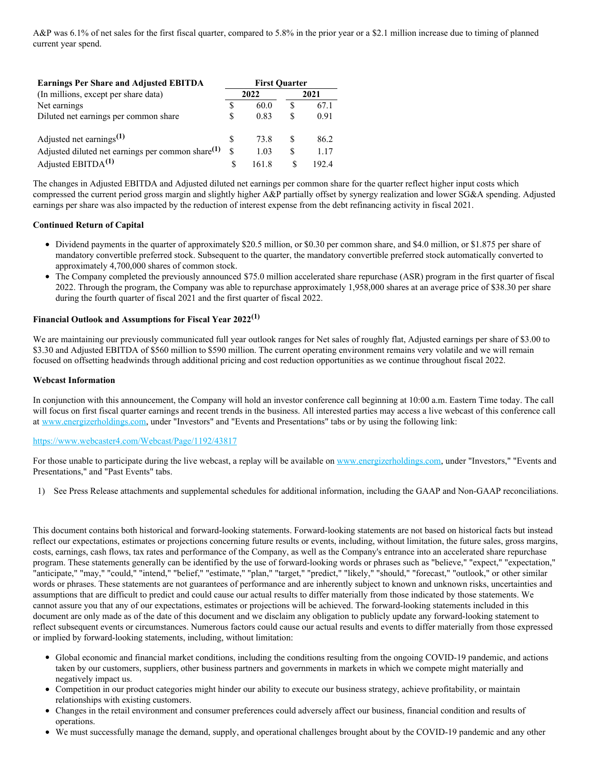A&P was 6.1% of net sales for the first fiscal quarter, compared to 5.8% in the prior year or a \$2.1 million increase due to timing of planned current year spend.

| <b>Earnings Per Share and Adjusted EBITDA</b>                 |   | <b>First Ouarter</b> |     |       |  |  |
|---------------------------------------------------------------|---|----------------------|-----|-------|--|--|
| (In millions, except per share data)                          |   | 2022                 |     | 2021  |  |  |
| Net earnings                                                  | S | 60.0                 | £.  | 67.1  |  |  |
| Diluted net earnings per common share                         | S | 0.83                 | \$. | 0.91  |  |  |
| Adjusted net earnings <sup>(1)</sup>                          | S | 73.8                 | \$. | 86.2  |  |  |
| Adjusted diluted net earnings per common share <sup>(1)</sup> | S | 1.03                 | \$. | 1.17  |  |  |
| Adjusted EBITDA <sup>(1)</sup>                                |   | 161.8                | S   | 192.4 |  |  |

The changes in Adjusted EBITDA and Adjusted diluted net earnings per common share for the quarter reflect higher input costs which compressed the current period gross margin and slightly higher A&P partially offset by synergy realization and lower SG&A spending. Adjusted earnings per share was also impacted by the reduction of interest expense from the debt refinancing activity in fiscal 2021.

### **Continued Return of Capital**

- Dividend payments in the quarter of approximately \$20.5 million, or \$0.30 per common share, and \$4.0 million, or \$1.875 per share of mandatory convertible preferred stock. Subsequent to the quarter, the mandatory convertible preferred stock automatically converted to approximately 4,700,000 shares of common stock.
- The Company completed the previously announced \$75.0 million accelerated share repurchase (ASR) program in the first quarter of fiscal 2022. Through the program, the Company was able to repurchase approximately 1,958,000 shares at an average price of \$38.30 per share during the fourth quarter of fiscal 2021 and the first quarter of fiscal 2022.

# **Financial Outlook and Assumptions for Fiscal Year 2022 (1)**

We are maintaining our previously communicated full year outlook ranges for Net sales of roughly flat, Adjusted earnings per share of \$3.00 to \$3.30 and Adjusted EBITDA of \$560 million to \$590 million. The current operating environment remains very volatile and we will remain focused on offsetting headwinds through additional pricing and cost reduction opportunities as we continue throughout fiscal 2022.

### **Webcast Information**

In conjunction with this announcement, the Company will hold an investor conference call beginning at 10:00 a.m. Eastern Time today. The call will focus on first fiscal quarter earnings and recent trends in the business. All interested parties may access a live webcast of this conference call at [www.energizerholdings.com](http://www.energizerholdings.com), under "Investors" and "Events and Presentations" tabs or by using the following link:

### [https://www.webcaster4.com/Webcast/Page/1192/43817](https://c212.net/c/link/?t=0&l=en&o=3434882-1&h=1467211768&u=https%3A%2F%2Fwww.webcaster4.com%2FWebcast%2FPage%2F1192%2F43817&a=https%3A%2F%2Fwww.webcaster4.com%2FWebcast%2FPage%2F1192%2F43817)

For those unable to participate during the live webcast, a replay will be available on [www.energizerholdings.com](http://www.energizerholdings.com), under "Investors," "Events and Presentations," and "Past Events" tabs.

1) See Press Release attachments and supplemental schedules for additional information, including the GAAP and Non-GAAP reconciliations.

This document contains both historical and forward-looking statements. Forward-looking statements are not based on historical facts but instead reflect our expectations, estimates or projections concerning future results or events, including, without limitation, the future sales, gross margins, costs, earnings, cash flows, tax rates and performance of the Company, as well as the Company's entrance into an accelerated share repurchase program. These statements generally can be identified by the use of forward-looking words or phrases such as "believe," "expect," "expectation," "anticipate," "may," "could," "intend," "belief," "estimate," "plan," "target," "predict," "likely," "should," "forecast," "outlook," or other similar words or phrases. These statements are not guarantees of performance and are inherently subject to known and unknown risks, uncertainties and assumptions that are difficult to predict and could cause our actual results to differ materially from those indicated by those statements. We cannot assure you that any of our expectations, estimates or projections will be achieved. The forward-looking statements included in this document are only made as of the date of this document and we disclaim any obligation to publicly update any forward-looking statement to reflect subsequent events or circumstances. Numerous factors could cause our actual results and events to differ materially from those expressed or implied by forward-looking statements, including, without limitation:

- Global economic and financial market conditions, including the conditions resulting from the ongoing COVID-19 pandemic, and actions taken by our customers, suppliers, other business partners and governments in markets in which we compete might materially and negatively impact us.
- Competition in our product categories might hinder our ability to execute our business strategy, achieve profitability, or maintain relationships with existing customers.
- Changes in the retail environment and consumer preferences could adversely affect our business, financial condition and results of operations.
- We must successfully manage the demand, supply, and operational challenges brought about by the COVID-19 pandemic and any other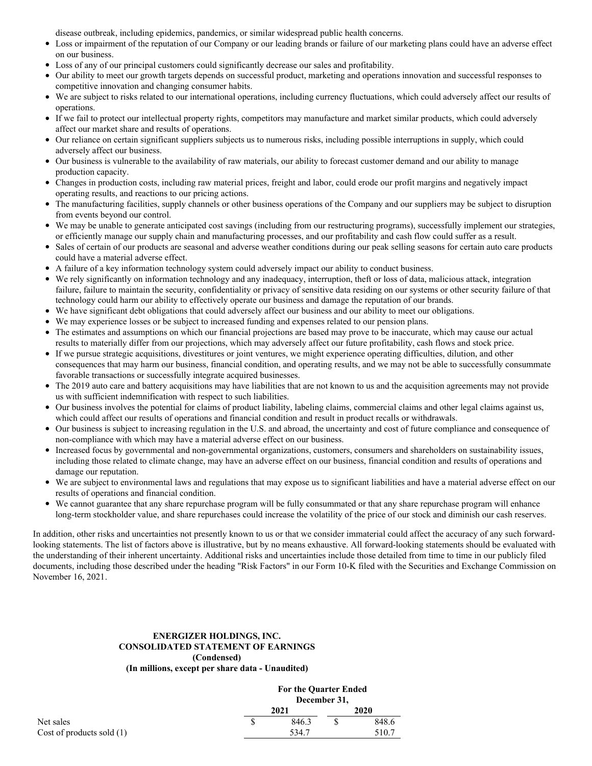disease outbreak, including epidemics, pandemics, or similar widespread public health concerns.

- $\bullet$ Loss or impairment of the reputation of our Company or our leading brands or failure of our marketing plans could have an adverse effect on our business.
- Loss of any of our principal customers could significantly decrease our sales and profitability.
- Our ability to meet our growth targets depends on successful product, marketing and operations innovation and successful responses to competitive innovation and changing consumer habits.
- We are subject to risks related to our international operations, including currency fluctuations, which could adversely affect our results of operations.
- $\bullet$ If we fail to protect our intellectual property rights, competitors may manufacture and market similar products, which could adversely affect our market share and results of operations.
- $\bullet$ Our reliance on certain significant suppliers subjects us to numerous risks, including possible interruptions in supply, which could adversely affect our business.
- Our business is vulnerable to the availability of raw materials, our ability to forecast customer demand and our ability to manage production capacity.
- Changes in production costs, including raw material prices, freight and labor, could erode our profit margins and negatively impact operating results, and reactions to our pricing actions.
- The manufacturing facilities, supply channels or other business operations of the Company and our suppliers may be subject to disruption from events beyond our control.
- We may be unable to generate anticipated cost savings (including from our restructuring programs), successfully implement our strategies,  $\bullet$ or efficiently manage our supply chain and manufacturing processes, and our profitability and cash flow could suffer as a result.
- Sales of certain of our products are seasonal and adverse weather conditions during our peak selling seasons for certain auto care products  $\bullet$ could have a material adverse effect.
- $\bullet$ A failure of a key information technology system could adversely impact our ability to conduct business.
- We rely significantly on information technology and any inadequacy, interruption, theft or loss of data, malicious attack, integration  $\bullet$ failure, failure to maintain the security, confidentiality or privacy of sensitive data residing on our systems or other security failure of that technology could harm our ability to effectively operate our business and damage the reputation of our brands.
- We have significant debt obligations that could adversely affect our business and our ability to meet our obligations.  $\bullet$
- We may experience losses or be subject to increased funding and expenses related to our pension plans.  $\bullet$
- $\bullet$ The estimates and assumptions on which our financial projections are based may prove to be inaccurate, which may cause our actual results to materially differ from our projections, which may adversely affect our future profitability, cash flows and stock price.
- If we pursue strategic acquisitions, divestitures or joint ventures, we might experience operating difficulties, dilution, and other  $\bullet$ consequences that may harm our business, financial condition, and operating results, and we may not be able to successfully consummate favorable transactions or successfully integrate acquired businesses.
- The 2019 auto care and battery acquisitions may have liabilities that are not known to us and the acquisition agreements may not provide us with sufficient indemnification with respect to such liabilities.
- Our business involves the potential for claims of product liability, labeling claims, commercial claims and other legal claims against us, which could affect our results of operations and financial condition and result in product recalls or withdrawals.
- Our business is subject to increasing regulation in the U.S. and abroad, the uncertainty and cost of future compliance and consequence of  $\bullet$ non-compliance with which may have a material adverse effect on our business.
- Increased focus by governmental and non-governmental organizations, customers, consumers and shareholders on sustainability issues,  $\bullet$ including those related to climate change, may have an adverse effect on our business, financial condition and results of operations and damage our reputation.
- $\bullet$ We are subject to environmental laws and regulations that may expose us to significant liabilities and have a material adverse effect on our results of operations and financial condition.
- We cannot guarantee that any share repurchase program will be fully consummated or that any share repurchase program will enhance long-term stockholder value, and share repurchases could increase the volatility of the price of our stock and diminish our cash reserves.

In addition, other risks and uncertainties not presently known to us or that we consider immaterial could affect the accuracy of any such forwardlooking statements. The list of factors above is illustrative, but by no means exhaustive. All forward-looking statements should be evaluated with the understanding of their inherent uncertainty. Additional risks and uncertainties include those detailed from time to time in our publicly filed documents, including those described under the heading "Risk Factors" in our Form 10-K filed with the Securities and Exchange Commission on November 16, 2021.

# **ENERGIZER HOLDINGS, INC. CONSOLIDATED STATEMENT OF EARNINGS (Condensed) (In millions, except per share data - Unaudited)**

|                             | 2021 | <b>For the Quarter Ended</b> | December 31, |       |
|-----------------------------|------|------------------------------|--------------|-------|
|                             |      |                              |              | 2020  |
| Net sales                   |      | 846.3                        |              | 848.6 |
| Cost of products sold $(1)$ |      | 534.7                        |              | 510.7 |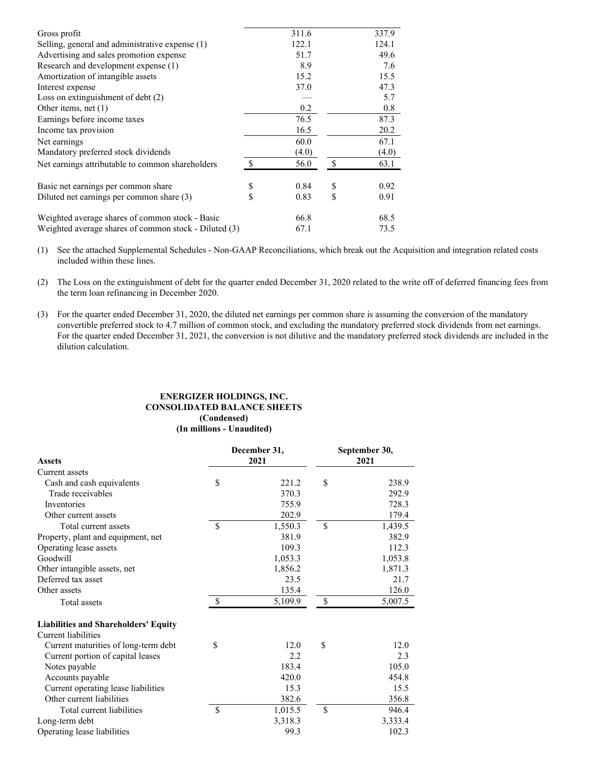| Gross profit                                          |               | 311.6 |               | 337.9 |
|-------------------------------------------------------|---------------|-------|---------------|-------|
| Selling, general and administrative expense (1)       |               | 122.1 |               | 124.1 |
| Advertising and sales promotion expense               |               | 51.7  |               | 49.6  |
| Research and development expense (1)                  |               | 8.9   |               | 7.6   |
| Amortization of intangible assets                     |               | 15.2  |               | 15.5  |
| Interest expense                                      |               | 37.0  |               | 47.3  |
| Loss on extinguishment of debt $(2)$                  |               |       |               | 5.7   |
| Other items, net $(1)$                                |               | 0.2   |               | 0.8   |
| Earnings before income taxes                          |               | 76.5  |               | 87.3  |
| Income tax provision                                  |               | 16.5  |               | 20.2  |
| Net earnings                                          |               | 60.0  |               | 67.1  |
| Mandatory preferred stock dividends                   |               | (4.0) |               | (4.0) |
| Net earnings attributable to common shareholders      | $\mathcal{S}$ | 56.0  | <sup>\$</sup> | 63.1  |
| Basic net earnings per common share                   | \$            | 0.84  | \$            | 0.92  |
| Diluted net earnings per common share (3)             | \$            | 0.83  | \$            | 0.91  |
| Weighted average shares of common stock - Basic       |               | 66.8  |               | 68.5  |
| Weighted average shares of common stock - Diluted (3) |               | 67.1  |               | 73.5  |

(1) See the attached Supplemental Schedules - Non-GAAP Reconciliations, which break out the Acquisition and integration related costs included within these lines.

(2) The Loss on the extinguishment of debt for the quarter ended December 31, 2020 related to the write off of deferred financing fees from the term loan refinancing in December 2020.

(3) For the quarter ended December 31, 2020, the diluted net earnings per common share is assuming the conversion of the mandatory convertible preferred stock to 4.7 million of common stock, and excluding the mandatory preferred stock dividends from net earnings. For the quarter ended December 31, 2021, the conversion is not dilutive and the mandatory preferred stock dividends are included in the dilution calculation.

# **ENERGIZER HOLDINGS, INC. CONSOLIDATED BALANCE SHEETS (Condensed) (In millions - Unaudited)**

|                                             |              | December 31, |               | September 30, |
|---------------------------------------------|--------------|--------------|---------------|---------------|
| <b>Assets</b>                               |              | 2021         |               | 2021          |
| Current assets                              |              |              |               |               |
| Cash and cash equivalents                   | \$           | 221.2        | \$            | 238.9         |
| Trade receivables                           |              | 370.3        |               | 292.9         |
| Inventories                                 |              | 755.9        |               | 728.3         |
| Other current assets                        |              | 202.9        |               | 179.4         |
| Total current assets                        | \$           | 1,550.3      | $\mathbb{S}$  | 1,439.5       |
| Property, plant and equipment, net          |              | 381.9        |               | 382.9         |
| Operating lease assets                      |              | 109.3        |               | 112.3         |
| Goodwill                                    |              | 1,053.3      |               | 1,053.8       |
| Other intangible assets, net                |              | 1,856.2      |               | 1,871.3       |
| Deferred tax asset                          |              | 23.5         |               | 21.7          |
| Other assets                                |              | 135.4        |               | 126.0         |
| Total assets                                | $\mathbb{S}$ | 5,109.9      | $\mathcal{S}$ | 5,007.5       |
| <b>Liabilities and Shareholders' Equity</b> |              |              |               |               |
| Current liabilities                         |              |              |               |               |
| Current maturities of long-term debt        | \$           | 12.0         | \$            | 12.0          |
| Current portion of capital leases           |              | 2.2          |               | 2.3           |
| Notes payable                               |              | 183.4        |               | 105.0         |
| Accounts payable                            |              | 420.0        |               | 454.8         |
| Current operating lease liabilities         |              | 15.3         |               | 15.5          |
| Other current liabilities                   |              | 382.6        |               | 356.8         |
| Total current liabilities                   | \$           | 1,015.5      | $\mathbb{S}$  | 946.4         |
| Long-term debt                              |              | 3,318.3      |               | 3,333.4       |
| Operating lease liabilities                 |              | 99.3         |               | 102.3         |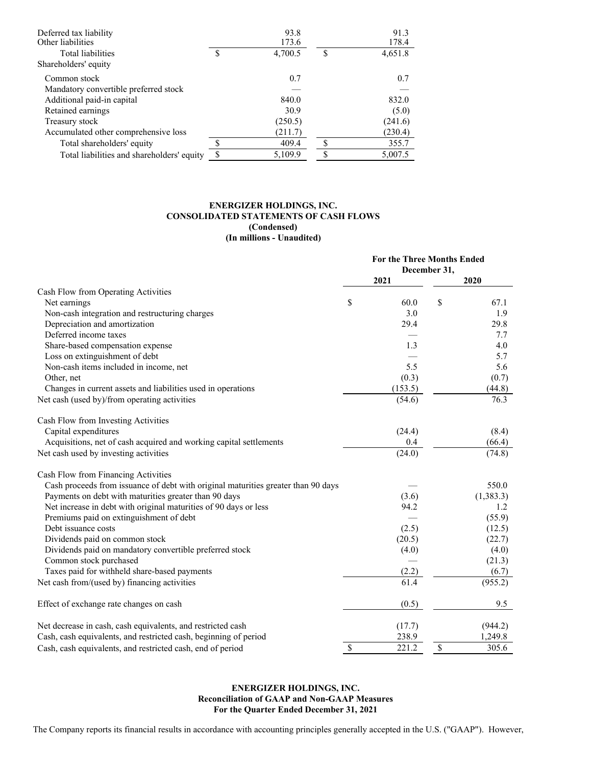| Deferred tax liability<br>Other liabilities |    | 93.8<br>173.6 |    | 91.3<br>178.4 |
|---------------------------------------------|----|---------------|----|---------------|
| Total liabilities                           | S  | 4,700.5       | S  | 4,651.8       |
| Shareholders' equity                        |    |               |    |               |
| Common stock                                |    | 0.7           |    | 0.7           |
| Mandatory convertible preferred stock       |    |               |    |               |
| Additional paid-in capital                  |    | 840.0         |    | 832.0         |
| Retained earnings                           |    | 30.9          |    | (5.0)         |
| Treasury stock                              |    | (250.5)       |    | (241.6)       |
| Accumulated other comprehensive loss        |    | (211.7)       |    | (230.4)       |
| Total shareholders' equity                  | Φ  | 409.4         | S  | 355.7         |
| Total liabilities and shareholders' equity  | \$ | 5,109.9       | \$ | 5,007.5       |

# **ENERGIZER HOLDINGS, INC. CONSOLIDATED STATEMENTS OF CASH FLOWS (Condensed) (In millions - Unaudited)**

|                                                                                   | <b>For the Three Months Ended</b> |         |              |            |
|-----------------------------------------------------------------------------------|-----------------------------------|---------|--------------|------------|
|                                                                                   |                                   | 2021    | December 31, | 2020       |
| Cash Flow from Operating Activities                                               |                                   |         |              |            |
| Net earnings                                                                      | \$                                | 60.0    | \$           | 67.1       |
| Non-cash integration and restructuring charges                                    |                                   | 3.0     |              | 1.9        |
| Depreciation and amortization                                                     |                                   | 29.4    |              | 29.8       |
| Deferred income taxes                                                             |                                   |         |              | 7.7        |
| Share-based compensation expense                                                  |                                   | 1.3     |              | 4.0        |
| Loss on extinguishment of debt                                                    |                                   |         |              | 5.7        |
| Non-cash items included in income, net                                            |                                   | 5.5     |              | 5.6        |
| Other, net                                                                        |                                   | (0.3)   |              | (0.7)      |
| Changes in current assets and liabilities used in operations                      |                                   | (153.5) |              | (44.8)     |
| Net cash (used by)/from operating activities                                      |                                   | (54.6)  |              | 76.3       |
|                                                                                   |                                   |         |              |            |
| Cash Flow from Investing Activities                                               |                                   |         |              |            |
| Capital expenditures                                                              |                                   | (24.4)  |              | (8.4)      |
| Acquisitions, net of cash acquired and working capital settlements                |                                   | 0.4     |              | (66.4)     |
| Net cash used by investing activities                                             |                                   | (24.0)  |              | (74.8)     |
| Cash Flow from Financing Activities                                               |                                   |         |              |            |
| Cash proceeds from issuance of debt with original maturities greater than 90 days |                                   |         |              | 550.0      |
| Payments on debt with maturities greater than 90 days                             |                                   | (3.6)   |              | (1, 383.3) |
| Net increase in debt with original maturities of 90 days or less                  |                                   | 94.2    |              | 1.2        |
| Premiums paid on extinguishment of debt                                           |                                   |         |              | (55.9)     |
| Debt issuance costs                                                               |                                   | (2.5)   |              | (12.5)     |
| Dividends paid on common stock                                                    |                                   | (20.5)  |              | (22.7)     |
| Dividends paid on mandatory convertible preferred stock                           |                                   | (4.0)   |              | (4.0)      |
| Common stock purchased                                                            |                                   |         |              | (21.3)     |
| Taxes paid for withheld share-based payments                                      |                                   | (2.2)   |              | (6.7)      |
| Net cash from/(used by) financing activities                                      |                                   | 61.4    |              | (955.2)    |
| Effect of exchange rate changes on cash                                           |                                   | (0.5)   |              | 9.5        |
| Net decrease in cash, cash equivalents, and restricted cash                       |                                   | (17.7)  |              | (944.2)    |
| Cash, cash equivalents, and restricted cash, beginning of period                  |                                   | 238.9   |              | 1,249.8    |
| Cash, cash equivalents, and restricted cash, end of period                        | $\mathbb{S}$                      | 221.2   | \$           | 305.6      |

**ENERGIZER HOLDINGS, INC. Reconciliation of GAAP and Non-GAAP Measures For the Quarter Ended December 31, 2021**

The Company reports its financial results in accordance with accounting principles generally accepted in the U.S. ("GAAP"). However,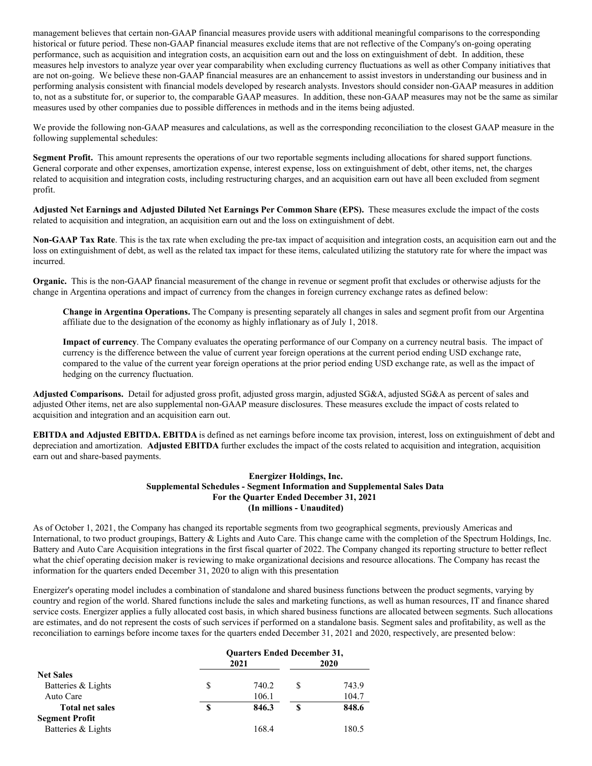management believes that certain non-GAAP financial measures provide users with additional meaningful comparisons to the corresponding historical or future period. These non-GAAP financial measures exclude items that are not reflective of the Company's on-going operating performance, such as acquisition and integration costs, an acquisition earn out and the loss on extinguishment of debt. In addition, these measures help investors to analyze year over year comparability when excluding currency fluctuations as well as other Company initiatives that are not on-going. We believe these non-GAAP financial measures are an enhancement to assist investors in understanding our business and in performing analysis consistent with financial models developed by research analysts. Investors should consider non-GAAP measures in addition to, not as a substitute for, or superior to, the comparable GAAP measures. In addition, these non-GAAP measures may not be the same as similar measures used by other companies due to possible differences in methods and in the items being adjusted.

We provide the following non-GAAP measures and calculations, as well as the corresponding reconciliation to the closest GAAP measure in the following supplemental schedules:

**Segment Profit.** This amount represents the operations of our two reportable segments including allocations for shared support functions. General corporate and other expenses, amortization expense, interest expense, loss on extinguishment of debt, other items, net, the charges related to acquisition and integration costs, including restructuring charges, and an acquisition earn out have all been excluded from segment profit.

**Adjusted Net Earnings and Adjusted Diluted Net Earnings Per Common Share (EPS).** These measures exclude the impact of the costs related to acquisition and integration, an acquisition earn out and the loss on extinguishment of debt.

**Non-GAAP Tax Rate**. This is the tax rate when excluding the pre-tax impact of acquisition and integration costs, an acquisition earn out and the loss on extinguishment of debt, as well as the related tax impact for these items, calculated utilizing the statutory rate for where the impact was incurred.

**Organic.** This is the non-GAAP financial measurement of the change in revenue or segment profit that excludes or otherwise adjusts for the change in Argentina operations and impact of currency from the changes in foreign currency exchange rates as defined below:

**Change in Argentina Operations.** The Company is presenting separately all changes in sales and segment profit from our Argentina affiliate due to the designation of the economy as highly inflationary as of July 1, 2018.

**Impact of currency**. The Company evaluates the operating performance of our Company on a currency neutral basis. The impact of currency is the difference between the value of current year foreign operations at the current period ending USD exchange rate, compared to the value of the current year foreign operations at the prior period ending USD exchange rate, as well as the impact of hedging on the currency fluctuation.

**Adjusted Comparisons.** Detail for adjusted gross profit, adjusted gross margin, adjusted SG&A, adjusted SG&A as percent of sales and adjusted Other items, net are also supplemental non-GAAP measure disclosures. These measures exclude the impact of costs related to acquisition and integration and an acquisition earn out.

**EBITDA and Adjusted EBITDA. EBITDA** is defined as net earnings before income tax provision, interest, loss on extinguishment of debt and depreciation and amortization. **Adjusted EBITDA** further excludes the impact of the costs related to acquisition and integration, acquisition earn out and share-based payments.

#### **Energizer Holdings, Inc. Supplemental Schedules - Segment Information and Supplemental Sales Data For the Quarter Ended December 31, 2021 (In millions - Unaudited)**

As of October 1, 2021, the Company has changed its reportable segments from two geographical segments, previously Americas and International, to two product groupings, Battery & Lights and Auto Care. This change came with the completion of the Spectrum Holdings, Inc. Battery and Auto Care Acquisition integrations in the first fiscal quarter of 2022. The Company changed its reporting structure to better reflect what the chief operating decision maker is reviewing to make organizational decisions and resource allocations. The Company has recast the information for the quarters ended December 31, 2020 to align with this presentation

Energizer's operating model includes a combination of standalone and shared business functions between the product segments, varying by country and region of the world. Shared functions include the sales and marketing functions, as well as human resources, IT and finance shared service costs. Energizer applies a fully allocated cost basis, in which shared business functions are allocated between segments. Such allocations are estimates, and do not represent the costs of such services if performed on a standalone basis. Segment sales and profitability, as well as the reconciliation to earnings before income taxes for the quarters ended December 31, 2021 and 2020, respectively, are presented below:

|                        | <b>Quarters Ended December 31,</b> |       |   |       |  |
|------------------------|------------------------------------|-------|---|-------|--|
|                        |                                    | 2021  |   | 2020  |  |
| <b>Net Sales</b>       |                                    |       |   |       |  |
| Batteries & Lights     | S                                  | 740.2 | S | 743.9 |  |
| Auto Care              |                                    | 106.1 |   | 104.7 |  |
| <b>Total net sales</b> | \$                                 | 846.3 | S | 848.6 |  |
| <b>Segment Profit</b>  |                                    |       |   |       |  |
| Batteries & Lights     |                                    | 168.4 |   | 180.5 |  |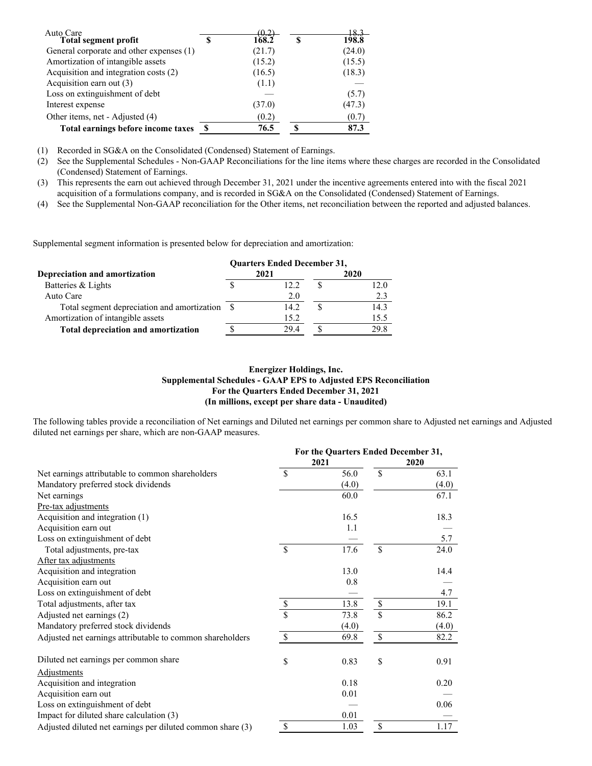| Auto Care                                | 70 O   |   |        |
|------------------------------------------|--------|---|--------|
| <b>Total segment profit</b>              | 168.2  | S | 198.8  |
| General corporate and other expenses (1) | (21.7) |   | (24.0) |
| Amortization of intangible assets        | (15.2) |   | (15.5) |
| Acquisition and integration costs (2)    | (16.5) |   | (18.3) |
| Acquisition earn out (3)                 | (1.1)  |   |        |
| Loss on extinguishment of debt           |        |   | (5.7)  |
| Interest expense                         | (37.0) |   | (47.3) |
| Other items, net - Adjusted (4)          | (0.2)  |   | (0.7)  |
| Total earnings before income taxes       | 76.5   |   | 87.3   |

(1) Recorded in SG&A on the Consolidated (Condensed) Statement of Earnings.

(2) See the Supplemental Schedules - Non-GAAP Reconciliations for the line items where these charges are recorded in the Consolidated (Condensed) Statement of Earnings.

(3) This represents the earn out achieved through December 31, 2021 under the incentive agreements entered into with the fiscal 2021 acquisition of a formulations company, and is recorded in SG&A on the Consolidated (Condensed) Statement of Earnings.

(4) See the Supplemental Non-GAAP reconciliation for the Other items, net reconciliation between the reported and adjusted balances.

Supplemental segment information is presented below for depreciation and amortization:

|                                                | <b>Quarters Ended December 31,</b> |       |  |      |  |  |
|------------------------------------------------|------------------------------------|-------|--|------|--|--|
| Depreciation and amortization                  |                                    | 2021  |  | 2020 |  |  |
| Batteries & Lights                             |                                    | 12.2. |  | 12.0 |  |  |
| Auto Care                                      |                                    | 2.0   |  | 2.3  |  |  |
| Total segment depreciation and amortization \$ |                                    | 14.2  |  | 14.3 |  |  |
| Amortization of intangible assets              |                                    | 15.2  |  | 15.5 |  |  |
| Total depreciation and amortization            |                                    | 29.4  |  | 29.8 |  |  |

### **Energizer Holdings, Inc. Supplemental Schedules - GAAP EPS to Adjusted EPS Reconciliation For the Quarters Ended December 31, 2021 (In millions, except per share data - Unaudited)**

The following tables provide a reconciliation of Net earnings and Diluted net earnings per common share to Adjusted net earnings and Adjusted diluted net earnings per share, which are non-GAAP measures.

|                                                            | For the Quarters Ended December 31, |       |                                                                       |       |
|------------------------------------------------------------|-------------------------------------|-------|-----------------------------------------------------------------------|-------|
|                                                            |                                     | 2021  |                                                                       | 2020  |
| Net earnings attributable to common shareholders           | \$                                  | 56.0  | \$                                                                    | 63.1  |
| Mandatory preferred stock dividends                        |                                     | (4.0) |                                                                       | (4.0) |
| Net earnings                                               |                                     | 60.0  |                                                                       | 67.1  |
| Pre-tax adjustments                                        |                                     |       |                                                                       |       |
| Acquisition and integration (1)                            |                                     | 16.5  |                                                                       | 18.3  |
| Acquisition earn out                                       |                                     | 1.1   |                                                                       |       |
| Loss on extinguishment of debt                             |                                     |       |                                                                       | 5.7   |
| Total adjustments, pre-tax                                 | $\mathcal{S}$                       | 17.6  | \$                                                                    | 24.0  |
| After tax adjustments                                      |                                     |       |                                                                       |       |
| Acquisition and integration                                |                                     | 13.0  |                                                                       | 14.4  |
| Acquisition earn out                                       |                                     | 0.8   |                                                                       |       |
| Loss on extinguishment of debt                             |                                     |       |                                                                       | 4.7   |
| Total adjustments, after tax                               | $\mathbb{S}% _{t}\left( t\right)$   | 13.8  | $\mathbb{S}$                                                          | 19.1  |
| Adjusted net earnings (2)                                  | \$                                  | 73.8  | \$                                                                    | 86.2  |
| Mandatory preferred stock dividends                        |                                     | (4.0) |                                                                       | (4.0) |
| Adjusted net earnings attributable to common shareholders  | $\mathbb{S}$                        | 69.8  | $\mathbb{S}% _{t}\left( t\right) \equiv\mathbb{S}_{t}\left( t\right)$ | 82.2  |
| Diluted net earnings per common share                      | \$                                  | 0.83  | \$                                                                    | 0.91  |
| <b>Adjustments</b>                                         |                                     |       |                                                                       |       |
| Acquisition and integration                                |                                     | 0.18  |                                                                       | 0.20  |
| Acquisition earn out                                       |                                     | 0.01  |                                                                       |       |
| Loss on extinguishment of debt                             |                                     |       |                                                                       | 0.06  |
| Impact for diluted share calculation (3)                   |                                     | 0.01  |                                                                       |       |
| Adjusted diluted net earnings per diluted common share (3) | <sup>\$</sup>                       | 1.03  | \$                                                                    | 1.17  |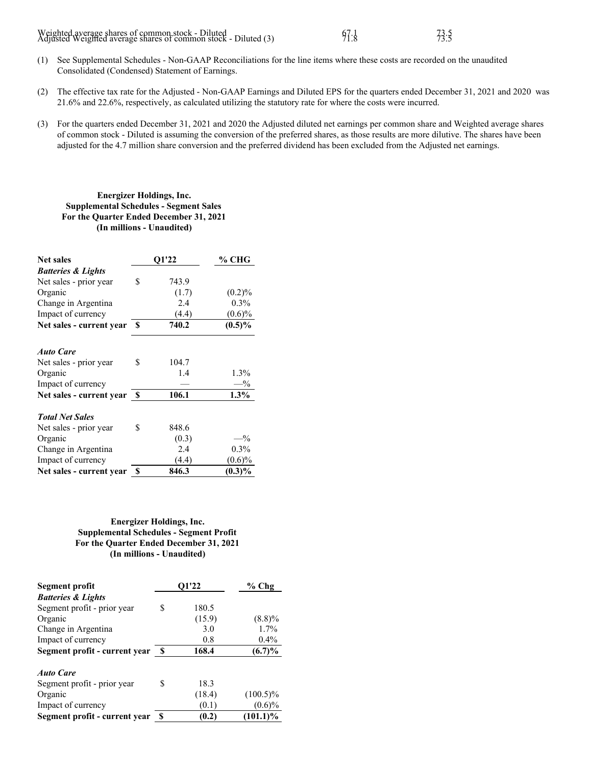| Weighted average shares of common stock - Diluted<br>Adjusted Weighted average shares of common stock - Diluted (3) | 97.8 | 73.5 |
|---------------------------------------------------------------------------------------------------------------------|------|------|
|---------------------------------------------------------------------------------------------------------------------|------|------|

- (1) See Supplemental Schedules Non-GAAP Reconciliations for the line items where these costs are recorded on the unaudited Consolidated (Condensed) Statement of Earnings.
- (2) The effective tax rate for the Adjusted Non-GAAP Earnings and Diluted EPS for the quarters ended December 31, 2021 and 2020 was 21.6% and 22.6%, respectively, as calculated utilizing the statutory rate for where the costs were incurred.
- (3) For the quarters ended December 31, 2021 and 2020 the Adjusted diluted net earnings per common share and Weighted average shares of common stock - Diluted is assuming the conversion of the preferred shares, as those results are more dilutive. The shares have been adjusted for the 4.7 million share conversion and the preferred dividend has been excluded from the Adjusted net earnings.

# **Energizer Holdings, Inc. Supplemental Schedules - Segment Sales For the Quarter Ended December 31, 2021 (In millions - Unaudited)**

| <b>Net sales</b>              |     | O1'22 | % CHG     |
|-------------------------------|-----|-------|-----------|
| <b>Batteries &amp; Lights</b> |     |       |           |
| Net sales - prior year        | \$. | 743.9 |           |
| Organic                       |     | (1.7) | $(0.2)\%$ |
| Change in Argentina           |     | 2.4   | $0.3\%$   |
| Impact of currency            |     | (4.4) | $(0.6)\%$ |
| Net sales - current year      | S   | 740.2 | $(0.5)\%$ |
| <b>Auto Care</b>              |     |       |           |
| Net sales - prior year        | \$  | 104.7 |           |
| Organic                       |     | 1.4   | $1.3\%$   |
| Impact of currency            |     |       | $-$ %     |
| Net sales - current year \$   |     | 106.1 | $1.3\%$   |
| <b>Total Net Sales</b>        |     |       |           |
| Net sales - prior year        | \$  | 848.6 |           |
| Organic                       |     | (0.3) | $-$ %     |
| Change in Argentina           |     | 2.4   | $0.3\%$   |
| Impact of currency            |     | (4.4) | $(0.6)\%$ |
| Net sales - current year      | \$  | 846.3 | $(0.3)\%$ |

# **Energizer Holdings, Inc. Supplemental Schedules - Segment Profit For the Quarter Ended December 31, 2021 (In millions - Unaudited)**

| Segment profit                | O1'22 |        | $%$ Chg     |
|-------------------------------|-------|--------|-------------|
| <b>Batteries &amp; Lights</b> |       |        |             |
| Segment profit - prior year   | S     | 180.5  |             |
| Organic                       |       | (15.9) | $(8.8)\%$   |
| Change in Argentina           |       | 3.0    | 1.7%        |
| Impact of currency            |       | 0.8    | $0.4\%$     |
| Segment profit - current year | - \$  | 168.4  | $(6.7)\%$   |
| <b>Auto Care</b>              |       |        |             |
| Segment profit - prior year   | S     | 18.3   |             |
| Organic                       |       | (18.4) | $(100.5)\%$ |
| Impact of currency            |       | (0.1)  | $(0.6)\%$   |
| Segment profit - current year | S     | (0.2)  | $(101.1)\%$ |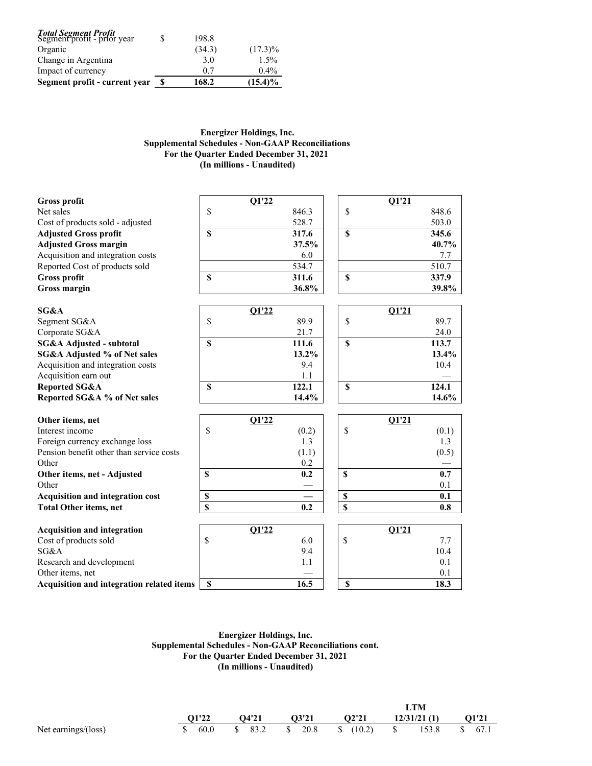| <b>Total Segment Profit</b><br>Segment profit - prior year |   | 198.8  |            |
|------------------------------------------------------------|---|--------|------------|
| Organic                                                    |   | (34.3) | $(17.3)\%$ |
| Change in Argentina                                        |   | 3.0    | $1.5\%$    |
| Impact of currency                                         |   | 0.7    | $0.4\%$    |
| Segment profit - current year                              | S | 168.2  | $(15.4)\%$ |

# **Energizer Holdings, Inc. Supplemental Schedules - Non-GAAP Reconciliations For the Quarter Ended December 31, 2021 (In millions - Unaudited)**

| <b>Gross profit</b>                       |                         | Q1'22 |          |               | Q1'21        |          |
|-------------------------------------------|-------------------------|-------|----------|---------------|--------------|----------|
| Net sales                                 | \$                      |       | 846.3    | \$            |              | 848.6    |
| Cost of products sold - adjusted          |                         |       | 528.7    |               |              | 503.0    |
| <b>Adjusted Gross profit</b>              | \$                      |       | 317.6    | $\mathbf S$   |              | 345.6    |
| <b>Adjusted Gross margin</b>              |                         |       | 37.5%    |               |              | 40.7%    |
| Acquisition and integration costs         |                         |       | 6.0      |               |              | 7.7      |
| Reported Cost of products sold            |                         |       | 534.7    |               |              | 510.7    |
| Gross profit                              | \$                      |       | 311.6    | $\mathbf S$   |              | 337.9    |
| Gross margin                              |                         |       | 36.8%    |               |              | 39.8%    |
| SG&A                                      |                         | O1'22 |          |               | O1'21        |          |
| Segment SG&A                              | \$                      |       | 89.9     | $\mathsf{\$}$ |              | 89.7     |
| Corporate SG&A                            |                         |       | 21.7     |               |              | 24.0     |
| SG&A Adjusted - subtotal                  | $\mathbf S$             |       | 111.6    | $\mathbf S$   |              | 113.7    |
| SG&A Adjusted % of Net sales              |                         |       | $13.2\%$ |               |              | 13.4%    |
| Acquisition and integration costs         |                         |       | 9.4      |               |              | 10.4     |
| Acquisition earn out                      |                         |       | 1.1      |               |              |          |
| <b>Reported SG&amp;A</b>                  | $\mathbf S$             |       | 122.1    | $\mathbf S$   |              | 124.1    |
| Reported SG&A % of Net sales              |                         |       | $14.4\%$ |               |              | $14.6\%$ |
| Other items, net                          |                         | Q1'22 |          |               | <b>Q1'21</b> |          |
| Interest income                           | \$                      |       | (0.2)    | \$            |              | (0.1)    |
| Foreign currency exchange loss            |                         |       | 1.3      |               |              | 1.3      |
| Pension benefit other than service costs  |                         |       | (1.1)    |               |              | (0.5)    |
| Other                                     |                         |       | 0.2      |               |              |          |
| Other items, net - Adjusted               | $\mathbf{s}$            |       | 0.2      | $\mathbf S$   |              | 0.7      |
| Other                                     |                         |       |          |               |              | 0.1      |
| Acquisition and integration cost          | \$                      |       |          | \$            |              | 0.1      |
| <b>Total Other items, net</b>             | $\overline{\mathbf{s}}$ |       | 0.2      | \$            |              | 0.8      |
| <b>Acquisition and integration</b>        |                         | Q1'22 |          |               | <b>Q1'21</b> |          |
| Cost of products sold                     | \$                      |       | 6.0      | \$            |              | 7.7      |
| SG&A                                      |                         |       | 9.4      |               |              | 10.4     |
| Research and development                  |                         |       | 1.1      |               |              | 0.1      |
| Other items, net                          |                         |       |          |               |              | 0.1      |
| Acquisition and integration related items | \$                      |       | 16.5     | \$            |              | 18.3     |

**Energizer Holdings, Inc. Supplemental Schedules - Non-GAAP Reconciliations cont. For the Quarter Ended December 31, 2021 (In millions - Unaudited)**

|        |       |       |       | <b>LTM</b>  |               |
|--------|-------|-------|-------|-------------|---------------|
| 01'22  | O4'21 | O3'21 | O2'21 | 12/31/21(1) | 01'21         |
| \$60.0 |       |       |       |             | 153.8 \$ 67.1 |